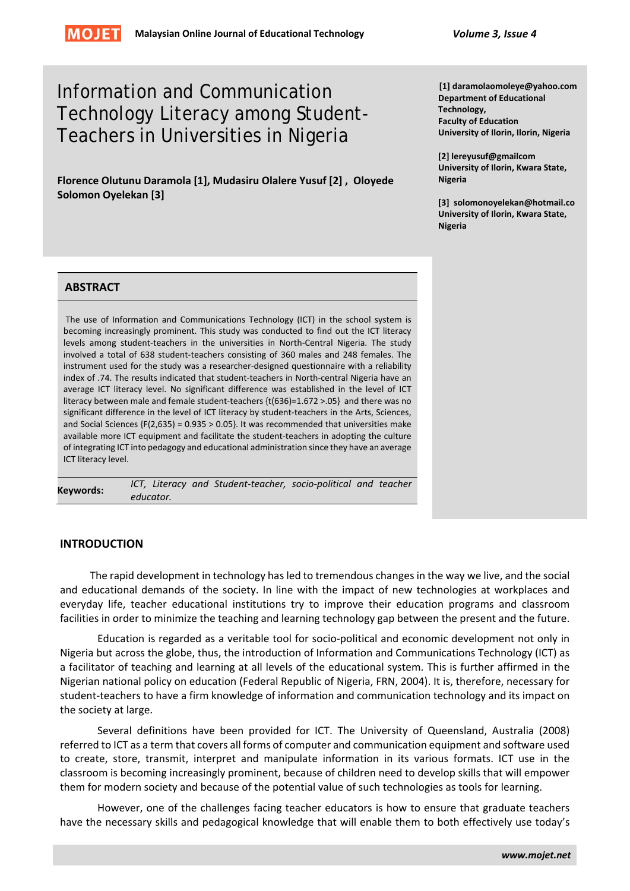

# Information and Communication Technology Literacy among Student-Teachers in Universities in Nigeria

**Florence Olutunu Daramola [1], Mudasiru Olalere Yusuf [2] , Oloyede Solomon Oyelekan [3]**

**[1] daramolaomoleye@yahoo.com Department of Educational Technology, Faculty of Education University of Ilorin, Ilorin, Nigeria**

**[2] lereyusuf@gmailcom University of Ilorin, Kwara State, Nigeria**

**[3] solomonoyelekan@hotmail.co University of Ilorin, Kwara State, Nigeria**

#### **ABSTRACT**

The use of Information and Communications Technology (ICT) in the school system is becoming increasingly prominent. This study was conducted to find out the ICT literacy levels among student-teachers in the universities in North-Central Nigeria. The study involved a total of 638 student-teachers consisting of 360 males and 248 females. The instrument used for the study was a researcher-designed questionnaire with a reliability index of .74. The results indicated that student-teachers in North-central Nigeria have an average ICT literacy level. No significant difference was established in the level of ICT literacy between male and female student-teachers {t(636)=1.672 >.05} and there was no significant difference in the level of ICT literacy by student-teachers in the Arts, Sciences, and Social Sciences  ${F(2,635) = 0.935 > 0.05}$ . It was recommended that universities make available more ICT equipment and facilitate the student-teachers in adopting the culture of integrating ICT into pedagogy and educational administration since they have an average ICT literacy level.

**Keywords:** *ICT, Literacy and Student-teacher, socio-political and teacher educator.*

#### **INTRODUCTION**

The rapid development in technology has led to tremendous changes in the way we live, and the social and educational demands of the society. In line with the impact of new technologies at workplaces and everyday life, teacher educational institutions try to improve their education programs and classroom facilities in order to minimize the teaching and learning technology gap between the present and the future.

Education is regarded as a veritable tool for socio-political and economic development not only in Nigeria but across the globe, thus, the introduction of Information and Communications Technology (ICT) as a facilitator of teaching and learning at all levels of the educational system. This is further affirmed in the Nigerian national policy on education (Federal Republic of Nigeria, FRN, 2004). It is, therefore, necessary for student-teachers to have a firm knowledge of information and communication technology and its impact on the society at large.

Several definitions have been provided for ICT. The University of Queensland, Australia (2008) referred to ICT as a term that covers all forms of computer and communication equipment and software used to create, store, transmit, interpret and manipulate information in its various formats. ICT use in the classroom is becoming increasingly prominent, because of children need to develop skills that will empower them for modern society and because of the potential value of such technologies as tools for learning.

However, one of the challenges facing teacher educators is how to ensure that graduate teachers have the necessary skills and pedagogical knowledge that will enable them to both effectively use today's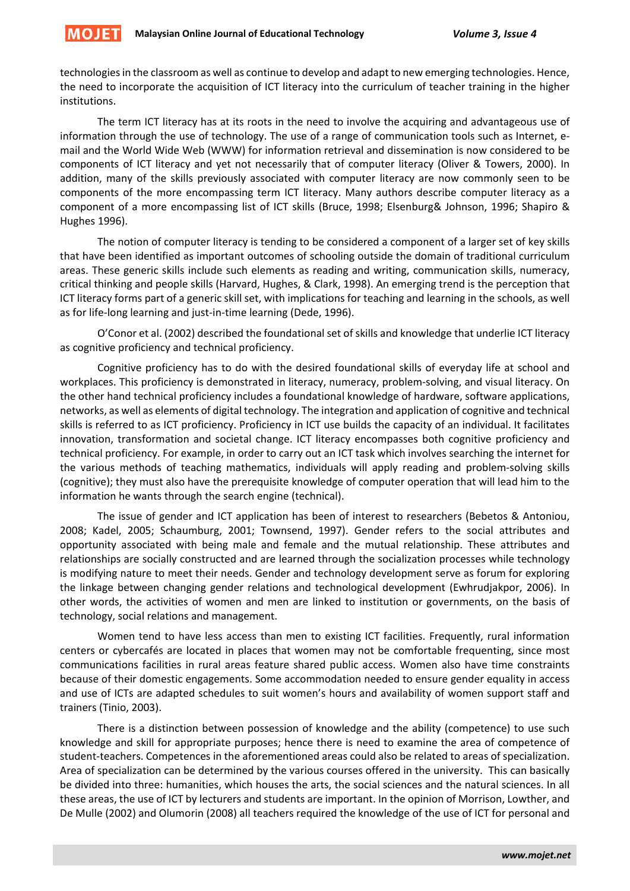**MOJET** 

technologies in the classroom as well as continue to develop and adapt to new emerging technologies. Hence, the need to incorporate the acquisition of ICT literacy into the curriculum of teacher training in the higher institutions.

The term ICT literacy has at its roots in the need to involve the acquiring and advantageous use of information through the use of technology. The use of a range of communication tools such as Internet, email and the World Wide Web (WWW) for information retrieval and dissemination is now considered to be components of ICT literacy and yet not necessarily that of computer literacy (Oliver & Towers, 2000). In addition, many of the skills previously associated with computer literacy are now commonly seen to be components of the more encompassing term ICT literacy. Many authors describe computer literacy as a component of a more encompassing list of ICT skills (Bruce, 1998; Elsenburg& Johnson, 1996; Shapiro & Hughes 1996).

The notion of computer literacy is tending to be considered a component of a larger set of key skills that have been identified as important outcomes of schooling outside the domain of traditional curriculum areas. These generic skills include such elements as reading and writing, communication skills, numeracy, critical thinking and people skills (Harvard, Hughes, & Clark, 1998). An emerging trend is the perception that ICT literacy forms part of a generic skill set, with implications for teaching and learning in the schools, as well as for life-long learning and just-in-time learning (Dede, 1996).

O'Conor et al. (2002) described the foundational set of skills and knowledge that underlie ICT literacy as cognitive proficiency and technical proficiency.

Cognitive proficiency has to do with the desired foundational skills of everyday life at school and workplaces. This proficiency is demonstrated in literacy, numeracy, problem-solving, and visual literacy. On the other hand technical proficiency includes a foundational knowledge of hardware, software applications, networks, as well as elements of digital technology. The integration and application of cognitive and technical skills is referred to as ICT proficiency. Proficiency in ICT use builds the capacity of an individual. It facilitates innovation, transformation and societal change. ICT literacy encompasses both cognitive proficiency and technical proficiency. For example, in order to carry out an ICT task which involves searching the internet for the various methods of teaching mathematics, individuals will apply reading and problem-solving skills (cognitive); they must also have the prerequisite knowledge of computer operation that will lead him to the information he wants through the search engine (technical).

The issue of gender and ICT application has been of interest to researchers (Bebetos & Antoniou, 2008; Kadel, 2005; Schaumburg, 2001; Townsend, 1997). Gender refers to the social attributes and opportunity associated with being male and female and the mutual relationship. These attributes and relationships are socially constructed and are learned through the socialization processes while technology is modifying nature to meet their needs. Gender and technology development serve as forum for exploring the linkage between changing gender relations and technological development (Ewhrudjakpor, 2006). In other words, the activities of women and men are linked to institution or governments, on the basis of technology, social relations and management.

Women tend to have less access than men to existing ICT facilities. Frequently, rural information centers or cybercafés are located in places that women may not be comfortable frequenting, since most communications facilities in rural areas feature shared public access. Women also have time constraints because of their domestic engagements. Some accommodation needed to ensure gender equality in access and use of ICTs are adapted schedules to suit women's hours and availability of women support staff and trainers (Tinio, 2003).

There is a distinction between possession of knowledge and the ability (competence) to use such knowledge and skill for appropriate purposes; hence there is need to examine the area of competence of student-teachers. Competences in the aforementioned areas could also be related to areas of specialization. Area of specialization can be determined by the various courses offered in the university. This can basically be divided into three: humanities, which houses the arts, the social sciences and the natural sciences. In all these areas, the use of ICT by lecturers and students are important. In the opinion of Morrison, Lowther, and De Mulle (2002) and Olumorin (2008) all teachers required the knowledge of the use of ICT for personal and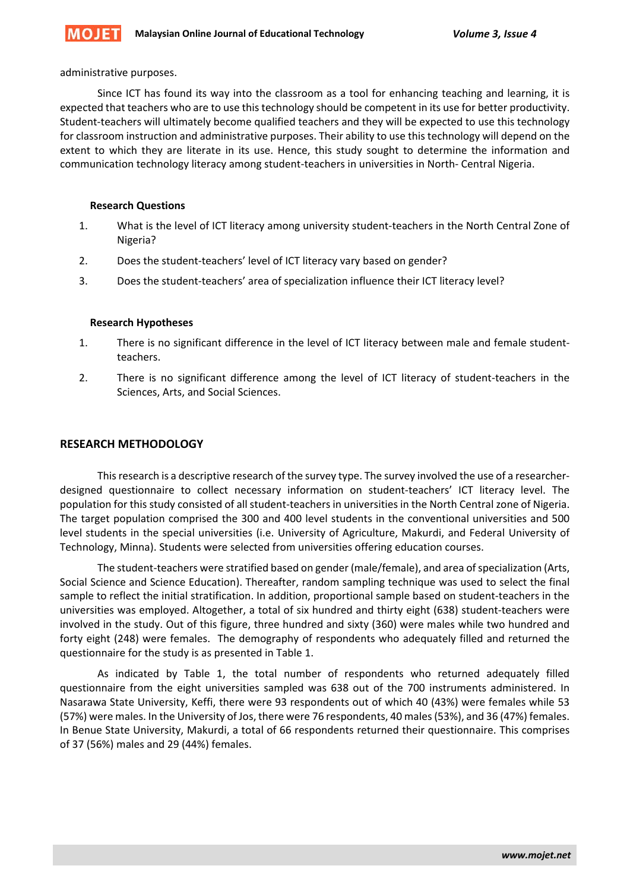administrative purposes.

**MOJET** 

Since ICT has found its way into the classroom as a tool for enhancing teaching and learning, it is expected that teachers who are to use this technology should be competent in its use for better productivity. Student-teachers will ultimately become qualified teachers and they will be expected to use this technology for classroom instruction and administrative purposes. Their ability to use this technology will depend on the extent to which they are literate in its use. Hence, this study sought to determine the information and communication technology literacy among student-teachers in universities in North- Central Nigeria.

#### **Research Questions**

- 1. What is the level of ICT literacy among university student-teachers in the North Central Zone of Nigeria?
- 2. Does the student-teachers' level of ICT literacy vary based on gender?
- 3. Does the student-teachers' area of specialization influence their ICT literacy level?

#### **Research Hypotheses**

- 1. There is no significant difference in the level of ICT literacy between male and female studentteachers.
- 2. There is no significant difference among the level of ICT literacy of student-teachers in the Sciences, Arts, and Social Sciences.

#### **RESEARCH METHODOLOGY**

This research is a descriptive research of the survey type. The survey involved the use of a researcherdesigned questionnaire to collect necessary information on student-teachers' ICT literacy level. The population for this study consisted of all student-teachers in universities in the North Central zone of Nigeria. The target population comprised the 300 and 400 level students in the conventional universities and 500 level students in the special universities (i.e. University of Agriculture, Makurdi, and Federal University of Technology, Minna). Students were selected from universities offering education courses.

The student-teachers were stratified based on gender (male/female), and area of specialization (Arts, Social Science and Science Education). Thereafter, random sampling technique was used to select the final sample to reflect the initial stratification. In addition, proportional sample based on student-teachers in the universities was employed. Altogether, a total of six hundred and thirty eight (638) student-teachers were involved in the study. Out of this figure, three hundred and sixty (360) were males while two hundred and forty eight (248) were females. The demography of respondents who adequately filled and returned the questionnaire for the study is as presented in Table 1.

As indicated by Table 1, the total number of respondents who returned adequately filled questionnaire from the eight universities sampled was 638 out of the 700 instruments administered. In Nasarawa State University, Keffi, there were 93 respondents out of which 40 (43%) were females while 53 (57%) were males. In the University of Jos, there were 76 respondents, 40 males (53%), and 36 (47%) females. In Benue State University, Makurdi, a total of 66 respondents returned their questionnaire. This comprises of 37 (56%) males and 29 (44%) females.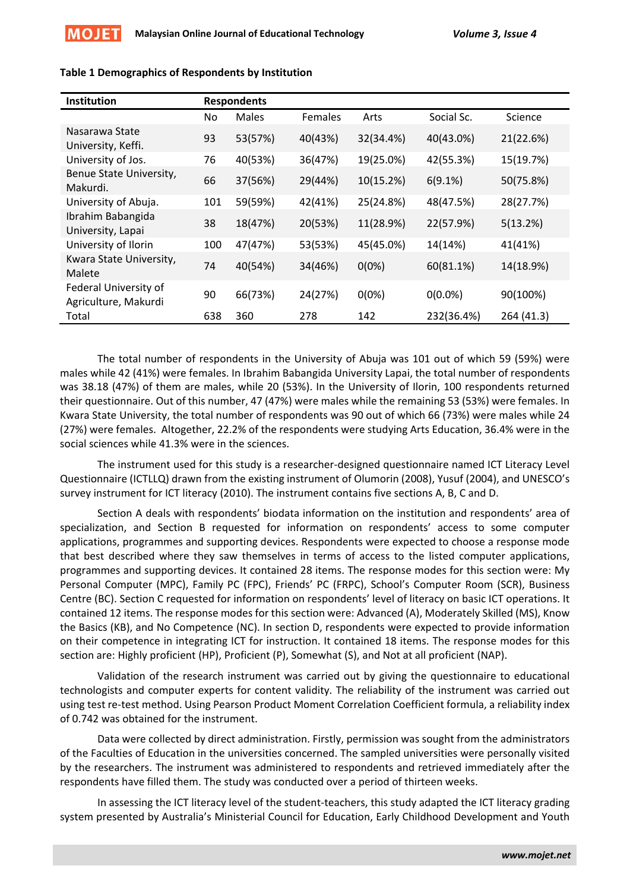

| <b>Institution</b>                            | <b>Respondents</b> |              |                |           |            |            |  |
|-----------------------------------------------|--------------------|--------------|----------------|-----------|------------|------------|--|
|                                               | No                 | <b>Males</b> | <b>Females</b> | Arts      | Social Sc. | Science    |  |
| Nasarawa State<br>University, Keffi.          | 93                 | 53(57%)      | 40(43%)        | 32(34.4%) | 40(43.0%)  | 21(22.6%)  |  |
| University of Jos.                            | 76                 | 40(53%)      | 36(47%)        | 19(25.0%) | 42(55.3%)  | 15(19.7%)  |  |
| Benue State University,<br>Makurdi.           | 66                 | 37(56%)      | 29(44%)        | 10(15.2%) | 6(9.1%)    | 50(75.8%)  |  |
| University of Abuja.                          | 101                | 59(59%)      | 42(41%)        | 25(24.8%) | 48(47.5%)  | 28(27.7%)  |  |
| Ibrahim Babangida<br>University, Lapai        | 38                 | 18(47%)      | 20(53%)        | 11(28.9%) | 22(57.9%)  | 5(13.2%)   |  |
| University of Ilorin                          | 100                | 47(47%)      | 53(53%)        | 45(45.0%) | 14(14%)    | 41(41%)    |  |
| Kwara State University,<br>Malete             | 74                 | 40(54%)      | 34(46%)        | $0(0\%)$  | 60(81.1%)  | 14(18.9%)  |  |
| Federal University of<br>Agriculture, Makurdi | 90                 | 66(73%)      | 24(27%)        | $0(0\%)$  | $0(0.0\%)$ | 90(100%)   |  |
| Total                                         | 638                | 360          | 278            | 142       | 232(36.4%) | 264 (41.3) |  |

#### **Table 1 Demographics of Respondents by Institution**

The total number of respondents in the University of Abuja was 101 out of which 59 (59%) were males while 42 (41%) were females. In Ibrahim Babangida University Lapai, the total number of respondents was 38.18 (47%) of them are males, while 20 (53%). In the University of Ilorin, 100 respondents returned their questionnaire. Out of this number, 47 (47%) were males while the remaining 53 (53%) were females. In Kwara State University, the total number of respondents was 90 out of which 66 (73%) were males while 24 (27%) were females. Altogether, 22.2% of the respondents were studying Arts Education, 36.4% were in the social sciences while 41.3% were in the sciences.

The instrument used for this study is a researcher-designed questionnaire named ICT Literacy Level Questionnaire (ICTLLQ) drawn from the existing instrument of Olumorin (2008), Yusuf (2004), and UNESCO's survey instrument for ICT literacy (2010). The instrument contains five sections A, B, C and D.

Section A deals with respondents' biodata information on the institution and respondents' area of specialization, and Section B requested for information on respondents' access to some computer applications, programmes and supporting devices. Respondents were expected to choose a response mode that best described where they saw themselves in terms of access to the listed computer applications, programmes and supporting devices. It contained 28 items. The response modes for this section were: My Personal Computer (MPC), Family PC (FPC), Friends' PC (FRPC), School's Computer Room (SCR), Business Centre (BC). Section C requested for information on respondents' level of literacy on basic ICT operations. It contained 12 items. The response modes for this section were: Advanced (A), Moderately Skilled (MS), Know the Basics (KB), and No Competence (NC). In section D, respondents were expected to provide information on their competence in integrating ICT for instruction. It contained 18 items. The response modes for this section are: Highly proficient (HP), Proficient (P), Somewhat (S), and Not at all proficient (NAP).

Validation of the research instrument was carried out by giving the questionnaire to educational technologists and computer experts for content validity. The reliability of the instrument was carried out using test re-test method. Using Pearson Product Moment Correlation Coefficient formula, a reliability index of 0.742 was obtained for the instrument.

Data were collected by direct administration. Firstly, permission was sought from the administrators of the Faculties of Education in the universities concerned. The sampled universities were personally visited by the researchers. The instrument was administered to respondents and retrieved immediately after the respondents have filled them. The study was conducted over a period of thirteen weeks.

In assessing the ICT literacy level of the student-teachers, this study adapted the ICT literacy grading system presented by Australia's Ministerial Council for Education, Early Childhood Development and Youth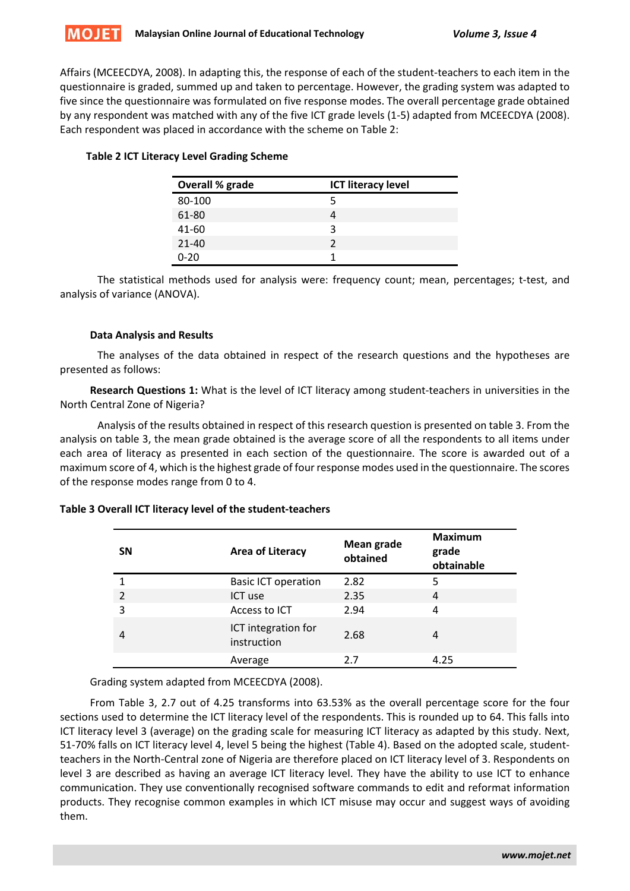Affairs (MCEECDYA, 2008). In adapting this, the response of each of the student-teachers to each item in the questionnaire is graded, summed up and taken to percentage. However, the grading system was adapted to five since the questionnaire was formulated on five response modes. The overall percentage grade obtained by any respondent was matched with any of the five ICT grade levels (1-5) adapted from MCEECDYA (2008). Each respondent was placed in accordance with the scheme on Table 2:

# **Table 2 ICT Literacy Level Grading Scheme**

| <b>Overall % grade</b> | <b>ICT literacy level</b> |
|------------------------|---------------------------|
| 80-100                 | 5                         |
| 61-80                  |                           |
| 41-60                  | ર                         |
| $21 - 40$              | າ                         |
| 0-20                   |                           |

The statistical methods used for analysis were: frequency count; mean, percentages; t-test, and analysis of variance (ANOVA).

#### **Data Analysis and Results**

The analyses of the data obtained in respect of the research questions and the hypotheses are presented as follows:

**Research Questions 1:** What is the level of ICT literacy among student-teachers in universities in the North Central Zone of Nigeria?

Analysis of the results obtained in respect of this research question is presented on table 3. From the analysis on table 3, the mean grade obtained is the average score of all the respondents to all items under each area of literacy as presented in each section of the questionnaire. The score is awarded out of a maximum score of 4, which is the highest grade of four response modes used in the questionnaire. The scores of the response modes range from 0 to 4.

# **Table 3 Overall ICT literacy level of the student-teachers**

| <b>SN</b>      | <b>Area of Literacy</b>            | Mean grade<br>obtained | <b>Maximum</b><br>grade<br>obtainable |  |  |
|----------------|------------------------------------|------------------------|---------------------------------------|--|--|
|                | <b>Basic ICT operation</b>         | 2.82                   | 5                                     |  |  |
| $\mathfrak{p}$ | ICT use                            | 2.35                   | 4                                     |  |  |
| 3              | Access to ICT                      | 2.94                   | 4                                     |  |  |
| 4              | ICT integration for<br>instruction | 2.68                   | 4                                     |  |  |
|                | Average                            | 2.7                    | 4.25                                  |  |  |

Grading system adapted from MCEECDYA (2008).

From Table 3, 2.7 out of 4.25 transforms into 63.53% as the overall percentage score for the four sections used to determine the ICT literacy level of the respondents. This is rounded up to 64. This falls into ICT literacy level 3 (average) on the grading scale for measuring ICT literacy as adapted by this study. Next, 51-70% falls on ICT literacy level 4, level 5 being the highest (Table 4). Based on the adopted scale, studentteachers in the North-Central zone of Nigeria are therefore placed on ICT literacy level of 3. Respondents on level 3 are described as having an average ICT literacy level. They have the ability to use ICT to enhance communication. They use conventionally recognised software commands to edit and reformat information products. They recognise common examples in which ICT misuse may occur and suggest ways of avoiding them.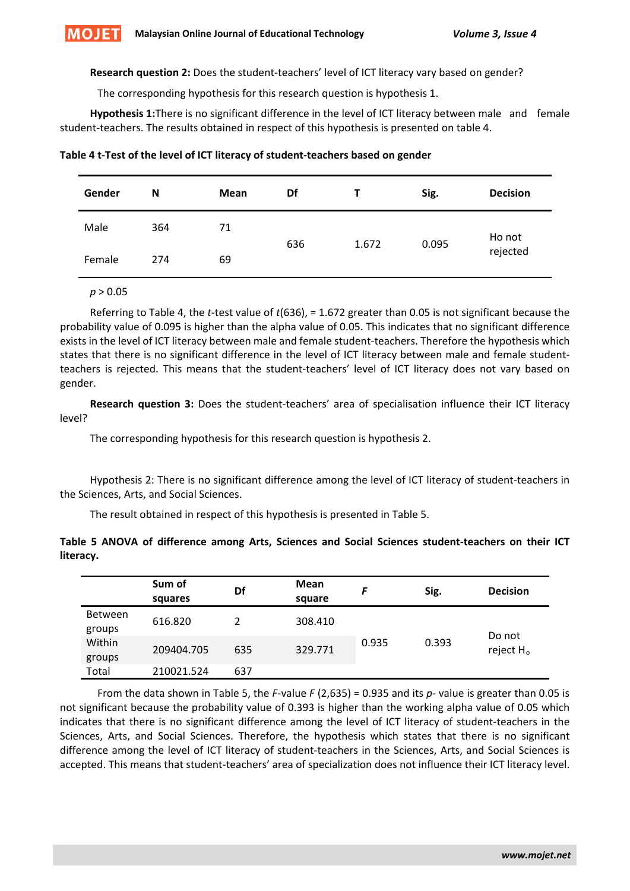**Research question 2:** Does the student-teachers' level of ICT literacy vary based on gender?

The corresponding hypothesis for this research question is hypothesis 1.

**Hypothesis 1:**There is no significant difference in the level of ICT literacy between male and female student-teachers. The results obtained in respect of this hypothesis is presented on table 4.

| Gender | N<br><b>Mean</b> |    | Df  |       | Sig.  | <b>Decision</b> |
|--------|------------------|----|-----|-------|-------|-----------------|
| Male   | 364              | 71 | 636 | 1.672 | 0.095 | Ho not          |
| Female | 274              | 69 |     |       |       | rejected        |

| Table 4 t-Test of the level of ICT literacy of student-teachers based on gender |  |
|---------------------------------------------------------------------------------|--|
|---------------------------------------------------------------------------------|--|

*p* > 0.05

Referring to Table 4, the *t*-test value of *t*(636), = 1.672 greater than 0.05 is not significant because the probability value of 0.095 is higher than the alpha value of 0.05. This indicates that no significant difference exists in the level of ICT literacy between male and female student-teachers. Therefore the hypothesis which states that there is no significant difference in the level of ICT literacy between male and female studentteachers is rejected. This means that the student-teachers' level of ICT literacy does not vary based on gender.

**Research question 3:** Does the student-teachers' area of specialisation influence their ICT literacy level?

The corresponding hypothesis for this research question is hypothesis 2.

Hypothesis 2: There is no significant difference among the level of ICT literacy of student-teachers in the Sciences, Arts, and Social Sciences.

The result obtained in respect of this hypothesis is presented in Table 5.

|           |  |  |  |  | Table 5 ANOVA of difference among Arts, Sciences and Social Sciences student-teachers on their ICT |  |  |
|-----------|--|--|--|--|----------------------------------------------------------------------------------------------------|--|--|
| literacy. |  |  |  |  |                                                                                                    |  |  |

|                          | Sum of<br>squares | Df  | <b>Mean</b><br>square |       | Sig.  | <b>Decision</b>                 |
|--------------------------|-------------------|-----|-----------------------|-------|-------|---------------------------------|
| <b>Between</b><br>groups | 616.820           | າ   | 308.410               |       |       |                                 |
| Within<br>groups         | 209404.705        | 635 | 329.771               | 0.935 | 0.393 | Do not<br>reject H <sub>o</sub> |
| Total                    | 210021.524        | 637 |                       |       |       |                                 |

From the data shown in Table 5, the *F*-value *F* (2,635) = 0.935 and its *p-* value is greater than 0.05 is not significant because the probability value of 0.393 is higher than the working alpha value of 0.05 which indicates that there is no significant difference among the level of ICT literacy of student-teachers in the Sciences, Arts, and Social Sciences. Therefore, the hypothesis which states that there is no significant difference among the level of ICT literacy of student-teachers in the Sciences, Arts, and Social Sciences is accepted. This means that student-teachers' area of specialization does not influence their ICT literacy level.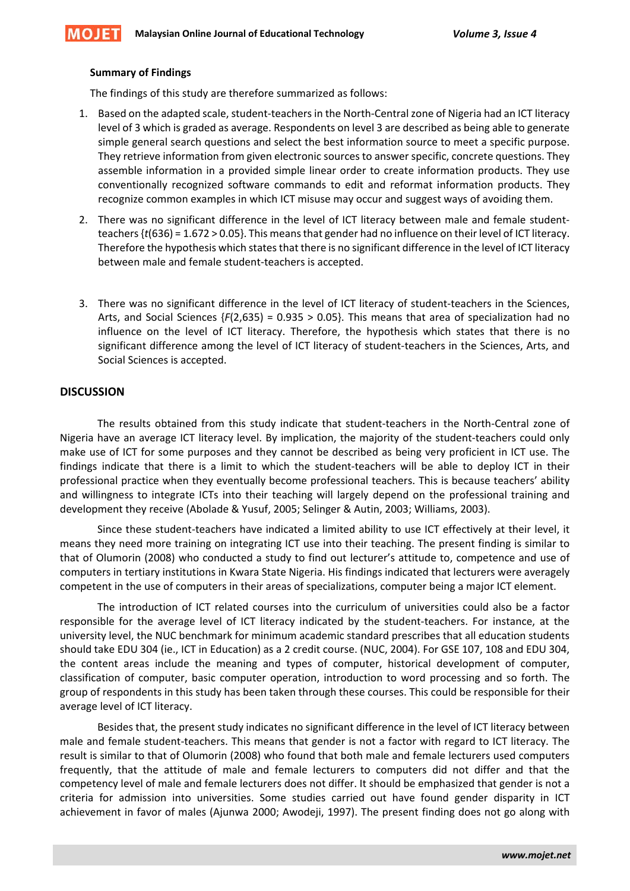#### **Summary of Findings**

The findings of this study are therefore summarized as follows:

- 1. Based on the adapted scale, student-teachers in the North-Central zone of Nigeria had an ICT literacy level of 3 which is graded as average. Respondents on level 3 are described as being able to generate simple general search questions and select the best information source to meet a specific purpose. They retrieve information from given electronic sources to answer specific, concrete questions. They assemble information in a provided simple linear order to create information products. They use conventionally recognized software commands to edit and reformat information products. They recognize common examples in which ICT misuse may occur and suggest ways of avoiding them.
- 2. There was no significant difference in the level of ICT literacy between male and female studentteachers {*t*(636) = 1.672 > 0.05}. This means that gender had no influence on their level of ICT literacy. Therefore the hypothesis which states that there is no significant difference in the level of ICT literacy between male and female student-teachers is accepted.
- 3. There was no significant difference in the level of ICT literacy of student-teachers in the Sciences, Arts, and Social Sciences {*F*(2,635) = 0.935 > 0.05}. This means that area of specialization had no influence on the level of ICT literacy. Therefore, the hypothesis which states that there is no significant difference among the level of ICT literacy of student-teachers in the Sciences, Arts, and Social Sciences is accepted.

# **DISCUSSION**

The results obtained from this study indicate that student-teachers in the North-Central zone of Nigeria have an average ICT literacy level. By implication, the majority of the student-teachers could only make use of ICT for some purposes and they cannot be described as being very proficient in ICT use. The findings indicate that there is a limit to which the student-teachers will be able to deploy ICT in their professional practice when they eventually become professional teachers. This is because teachers' ability and willingness to integrate ICTs into their teaching will largely depend on the professional training and development they receive (Abolade & Yusuf, 2005; Selinger & Autin, 2003; Williams, 2003).

Since these student-teachers have indicated a limited ability to use ICT effectively at their level, it means they need more training on integrating ICT use into their teaching. The present finding is similar to that of Olumorin (2008) who conducted a study to find out lecturer's attitude to, competence and use of computers in tertiary institutions in Kwara State Nigeria. His findings indicated that lecturers were averagely competent in the use of computers in their areas of specializations, computer being a major ICT element.

The introduction of ICT related courses into the curriculum of universities could also be a factor responsible for the average level of ICT literacy indicated by the student-teachers. For instance, at the university level, the NUC benchmark for minimum academic standard prescribes that all education students should take EDU 304 (ie., ICT in Education) as a 2 credit course. (NUC, 2004). For GSE 107, 108 and EDU 304, the content areas include the meaning and types of computer, historical development of computer, classification of computer, basic computer operation, introduction to word processing and so forth. The group of respondents in this study has been taken through these courses. This could be responsible for their average level of ICT literacy.

Besides that, the present study indicates no significant difference in the level of ICT literacy between male and female student-teachers. This means that gender is not a factor with regard to ICT literacy. The result is similar to that of Olumorin (2008) who found that both male and female lecturers used computers frequently, that the attitude of male and female lecturers to computers did not differ and that the competency level of male and female lecturers does not differ. It should be emphasized that gender is not a criteria for admission into universities. Some studies carried out have found gender disparity in ICT achievement in favor of males (Ajunwa 2000; Awodeji, 1997). The present finding does not go along with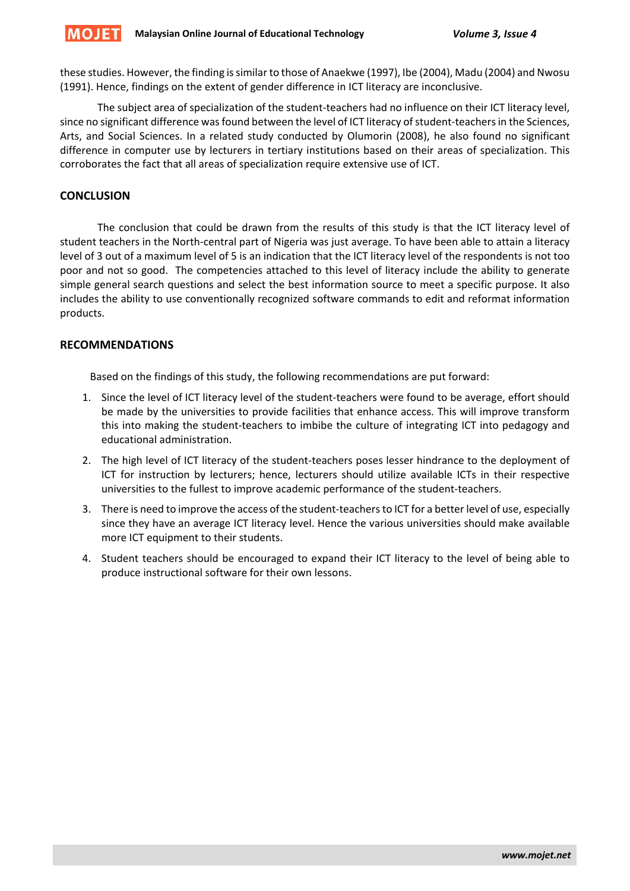these studies. However, the finding is similar to those of Anaekwe (1997), Ibe (2004), Madu (2004) and Nwosu (1991). Hence, findings on the extent of gender difference in ICT literacy are inconclusive.

The subject area of specialization of the student-teachers had no influence on their ICT literacy level, since no significant difference was found between the level of ICT literacy of student-teachers in the Sciences, Arts, and Social Sciences. In a related study conducted by Olumorin (2008), he also found no significant difference in computer use by lecturers in tertiary institutions based on their areas of specialization. This corroborates the fact that all areas of specialization require extensive use of ICT.

# **CONCLUSION**

The conclusion that could be drawn from the results of this study is that the ICT literacy level of student teachers in the North-central part of Nigeria was just average. To have been able to attain a literacy level of 3 out of a maximum level of 5 is an indication that the ICT literacy level of the respondents is not too poor and not so good. The competencies attached to this level of literacy include the ability to generate simple general search questions and select the best information source to meet a specific purpose. It also includes the ability to use conventionally recognized software commands to edit and reformat information products.

# **RECOMMENDATIONS**

Based on the findings of this study, the following recommendations are put forward:

- 1. Since the level of ICT literacy level of the student-teachers were found to be average, effort should be made by the universities to provide facilities that enhance access. This will improve transform this into making the student-teachers to imbibe the culture of integrating ICT into pedagogy and educational administration.
- 2. The high level of ICT literacy of the student-teachers poses lesser hindrance to the deployment of ICT for instruction by lecturers; hence, lecturers should utilize available ICTs in their respective universities to the fullest to improve academic performance of the student-teachers.
- 3. There is need to improve the access of the student-teachers to ICT for a better level of use, especially since they have an average ICT literacy level. Hence the various universities should make available more ICT equipment to their students.
- 4. Student teachers should be encouraged to expand their ICT literacy to the level of being able to produce instructional software for their own lessons.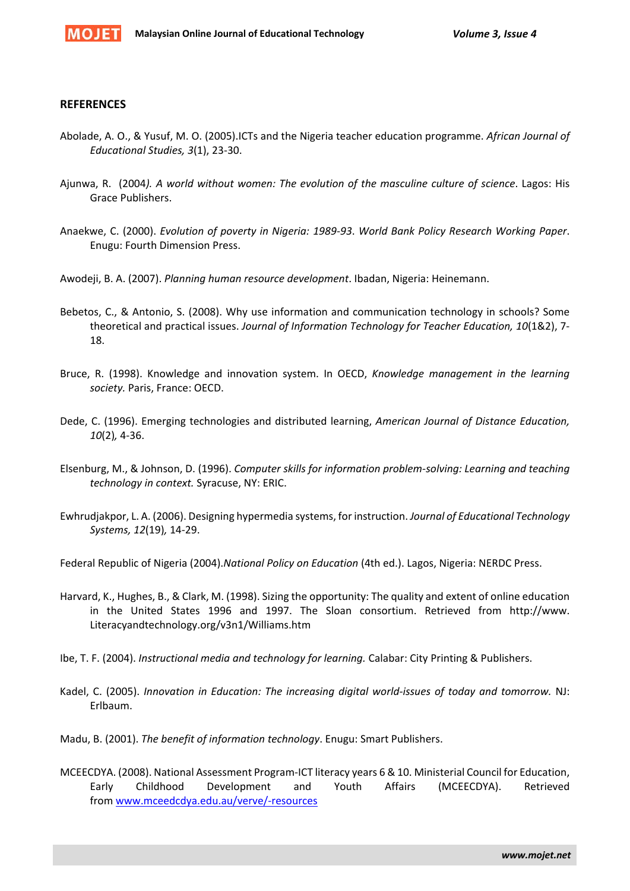

#### **REFERENCES**

- Abolade, A. O., & Yusuf, M. O. (2005).ICTs and the Nigeria teacher education programme. *African Journal of Educational Studies, 3*(1), 23-30.
- Ajunwa, R. (2004*). A world without women: The evolution of the masculine culture of science*. Lagos: His Grace Publishers.
- Anaekwe, C. (2000). *Evolution of poverty in Nigeria: 1989-93*. *World Bank Policy Research Working Paper*. Enugu: Fourth Dimension Press.
- Awodeji, B. A. (2007). *Planning human resource development*. Ibadan, Nigeria: Heinemann.
- Bebetos, C., & Antonio, S. (2008). Why use information and communication technology in schools? Some theoretical and practical issues. *Journal of Information Technology for Teacher Education, 10*(1&2), 7- 18.
- Bruce, R. (1998). Knowledge and innovation system. In OECD, *Knowledge management in the learning society.* Paris, France: OECD.
- Dede, C. (1996). Emerging technologies and distributed learning, *American Journal of Distance Education, 10*(2)*,* 4-36.
- Elsenburg, M., & Johnson, D. (1996). *Computer skills for information problem-solving: Learning and teaching technology in context.* Syracuse, NY: ERIC.
- Ewhrudjakpor, L. A. (2006). Designing hypermedia systems, for instruction. *Journal of Educational Technology Systems, 12*(19)*,* 14-29.

Federal Republic of Nigeria (2004).*National Policy on Education* (4th ed.). Lagos, Nigeria: NERDC Press.

- Harvard, K., Hughes, B., & Clark, M. (1998). Sizing the opportunity: The quality and extent of online education in the United States 1996 and 1997. The Sloan consortium. Retrieved from http://www. Literacyandtechnology.org/v3n1/Williams.htm
- Ibe, T. F. (2004). *Instructional media and technology for learning.* Calabar: City Printing & Publishers.
- Kadel, C. (2005). *Innovation in Education: The increasing digital world-issues of today and tomorrow.* NJ: Erlbaum.
- Madu, B. (2001). *The benefit of information technology*. Enugu: Smart Publishers.
- MCEECDYA. (2008). National Assessment Program-ICT literacy years 6 & 10. Ministerial Council for Education, Early Childhood Development and Youth Affairs (MCEECDYA). Retrieved from [www.mceedcdya.edu.au/verve/-resources](http://www.mceedcdya.edu.au/verve/-resources)